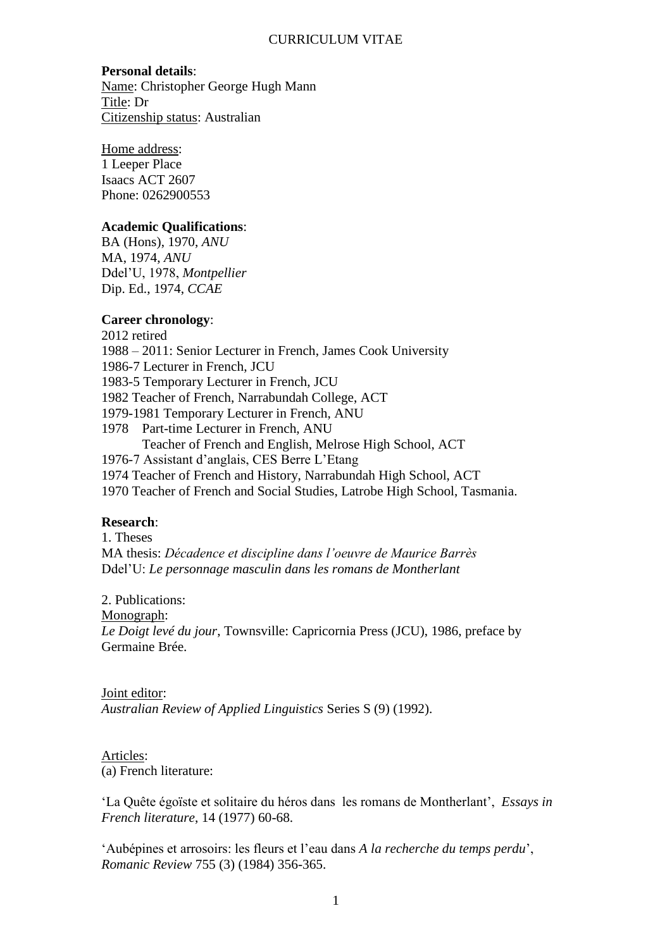#### **Personal details**:

Name: Christopher George Hugh Mann Title: Dr Citizenship status: Australian

#### Home address:

1 Leeper Place Isaacs ACT 2607 Phone: 0262900553

### **Academic Qualifications**:

BA (Hons), 1970, *ANU* MA, 1974, *ANU* Ddel'U, 1978, *Montpellier* Dip. Ed., 1974, *CCAE*

## **Career chronology**:

2012 retired

- 1988 2011: Senior Lecturer in French, James Cook University
- 1986-7 Lecturer in French, JCU
- 1983-5 Temporary Lecturer in French, JCU
- 1982 Teacher of French, Narrabundah College, ACT
- 1979-1981 Temporary Lecturer in French, ANU
- 1978 Part-time Lecturer in French, ANU

Teacher of French and English, Melrose High School, ACT

- 1976-7 Assistant d'anglais, CES Berre L'Etang
- 1974 Teacher of French and History, Narrabundah High School, ACT

1970 Teacher of French and Social Studies, Latrobe High School, Tasmania.

# **Research**:

1. Theses MA thesis: *Décadence et discipline dans l'oeuvre de Maurice Barrès* Ddel'U: *Le personnage masculin dans les romans de Montherlant*

2. Publications:

Monograph:

*Le Doigt levé du jour*, Townsville: Capricornia Press (JCU), 1986, preface by Germaine Brée.

Joint editor:

*Australian Review of Applied Linguistics* Series S (9) (1992).

# Articles:

(a) French literature:

'La Quête égoïste et solitaire du héros dans les romans de Montherlant', *Essays in French literature*, 14 (1977) 60-68.

'Aubépines et arrosoirs: les fleurs et l'eau dans *A la recherche du temps perdu*', *Romanic Review* 755 (3) (1984) 356-365.